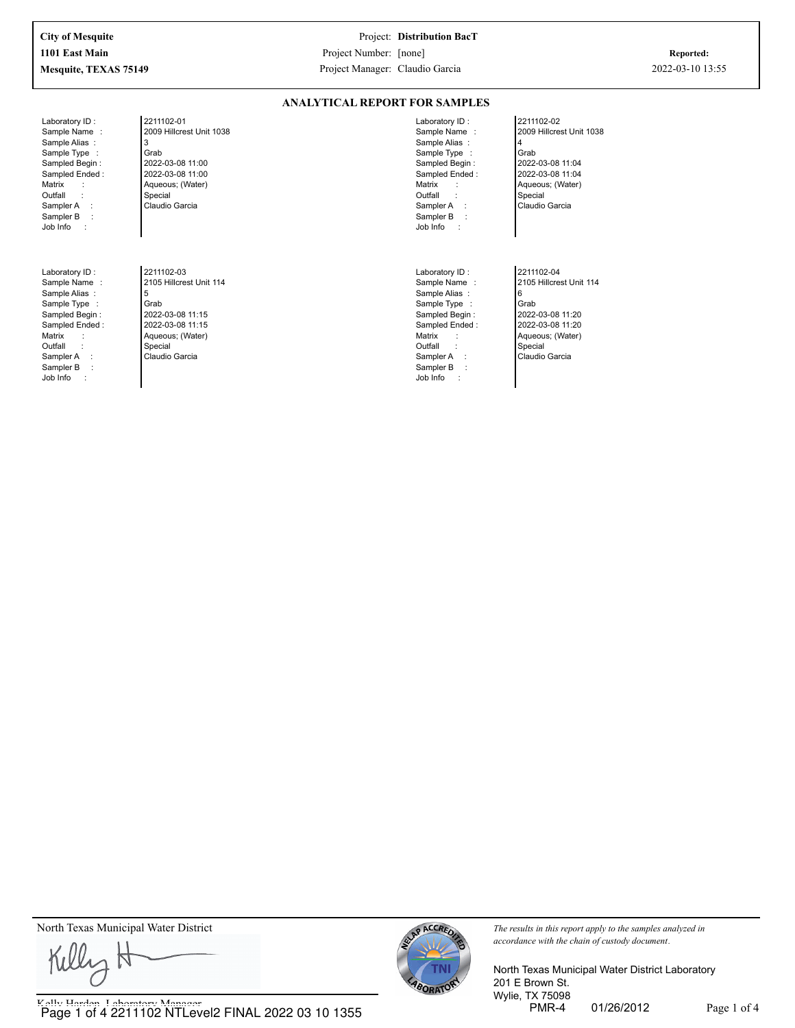**ANALYTICAL REPORT FOR SAMPLES**

Laboratory ID : Sample Name : Sample Alias : Sample Type : Sampled Begin : Sampled Ended : Matrix : **Outfall** Sampler A : Sampler B :<br>Job Info : Job Info :

Laboratory ID : Sample Name : Sample Alias : Sample Type : Sampled Begin : Sampled Ended : Matrix **Outfall** Sampler A : Sampler B : Job Info :

2211102-01 2009 Hillcrest Unit 1038 3 Grab 2022-03-08 11:00 2022-03-08 11:00 Aqueous; (Water) Special Claudio Garcia

2211102-03 2105 Hillcrest Unit 114 5 Grab 2022-03-08 11:15 2022-03-08 11:15 Aqueous; (Water) Special Claudio Garcia

2009 Hillcrest Unit 1038 Sample Name : Sample Alias : Sample Type : Sampled Begin : Sampled Ended : Matrix **Outfall** Sampler A : Sampler B :<br>Job Info : Job Info :

Laboratory ID :

Laboratory ID : Sample Name : Sample Alias : Sample Type : Sampled Begin : Sampled Ended : Matrix : **Outfall** Sampler A : Sampler B : Job Info :

4 Grab 2022-03-08 11:04 2022-03-08 11:04 Aqueous; (Water) Special Claudio Garcia

2211102-02

2211102-04 2105 Hillcrest Unit 114 6 Grab 2022-03-08 11:20 2022-03-08 11:20 Aqueous; (Water) Special Claudio Garcia

North Texas Municipal Water District *The results in this report apply to the samples analyzed in The results in this report apply to the samples analyzed in* 

Killy H

Kelly Harden, Laboratory Manager<br>
Page 1 of 4 2211102 NTLevel2 FINAL 2022 03 10 1355



*accordance with the chain of custody document.*

North Texas Municipal Water District Laboratory 201 E Brown St. Wylie, TX 75098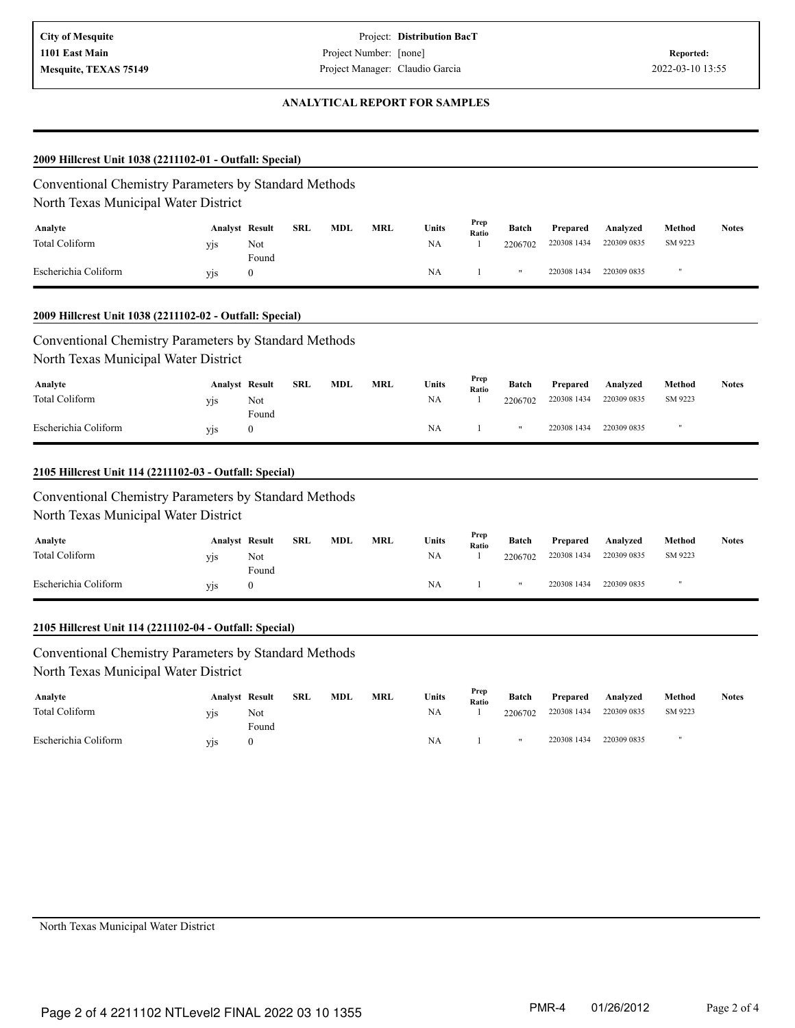### **ANALYTICAL REPORT FOR SAMPLES**

| Conventional Chemistry Parameters by Standard Methods<br>North Texas Municipal Water District<br>Analyte<br>Total Coliform<br>Escherichia Coliform | <b>Analyst Result</b><br>yjs |                  | <b>SRL</b> |     |            |             |               |                      |                         |                         |                   |              |
|----------------------------------------------------------------------------------------------------------------------------------------------------|------------------------------|------------------|------------|-----|------------|-------------|---------------|----------------------|-------------------------|-------------------------|-------------------|--------------|
|                                                                                                                                                    |                              |                  |            |     |            |             |               |                      |                         |                         |                   |              |
|                                                                                                                                                    |                              |                  |            |     |            |             | Prep          |                      |                         |                         |                   |              |
|                                                                                                                                                    |                              |                  |            | MDL | <b>MRL</b> | Units<br>NA | Ratio         | Batch                | Prepared<br>220308 1434 | Analyzed<br>220309 0835 | Method<br>SM 9223 | <b>Notes</b> |
|                                                                                                                                                    |                              | Not<br>Found     |            |     |            |             | 1             | 2206702              |                         |                         |                   |              |
|                                                                                                                                                    | yjs                          | $\boldsymbol{0}$ |            |     |            | <b>NA</b>   | 1             | $\pmb{\mathfrak{m}}$ | 220308 1434             | 220309 0835             | Ħ                 |              |
| 2009 Hillcrest Unit 1038 (2211102-02 - Outfall: Special)                                                                                           |                              |                  |            |     |            |             |               |                      |                         |                         |                   |              |
| Conventional Chemistry Parameters by Standard Methods                                                                                              |                              |                  |            |     |            |             |               |                      |                         |                         |                   |              |
| North Texas Municipal Water District                                                                                                               |                              |                  |            |     |            |             |               |                      |                         |                         |                   |              |
| Analyte                                                                                                                                            | <b>Analyst Result</b>        |                  | <b>SRL</b> | MDL | MRL        | Units       | Prep          | Batch                | Prepared                | Analyzed                | Method            | <b>Notes</b> |
| <b>Total Coliform</b>                                                                                                                              | yjs                          | Not              |            |     |            | NA          | Ratio<br>1    | 2206702              | 220308 1434             | 220309 0835             | SM 9223           |              |
|                                                                                                                                                    |                              | Found            |            |     |            |             |               |                      |                         |                         |                   |              |
| Escherichia Coliform                                                                                                                               | yjs                          | $\boldsymbol{0}$ |            |     |            | <b>NA</b>   | 1             | $\pmb{\mathfrak{m}}$ | 220308 1434             | 220309 0835             |                   |              |
| 2105 Hillcrest Unit 114 (2211102-03 - Outfall: Special)                                                                                            |                              |                  |            |     |            |             |               |                      |                         |                         |                   |              |
|                                                                                                                                                    |                              |                  |            |     |            |             |               |                      |                         |                         |                   |              |
| Conventional Chemistry Parameters by Standard Methods<br>North Texas Municipal Water District                                                      |                              |                  |            |     |            |             |               |                      |                         |                         |                   |              |
| Analyte                                                                                                                                            | <b>Analyst Result</b>        |                  | <b>SRL</b> | MDL | <b>MRL</b> | Units       | Prep          | Batch                |                         |                         | Method            | <b>Notes</b> |
| <b>Total Coliform</b>                                                                                                                              | yjs                          | Not              |            |     |            | NA          | Ratio<br>1    | 2206702              | Prepared<br>220308 1434 | Analyzed<br>220309 0835 | SM 9223           |              |
|                                                                                                                                                    |                              | Found            |            |     |            |             |               |                      |                         |                         |                   |              |
| Escherichia Coliform                                                                                                                               | yjs                          | $\boldsymbol{0}$ |            |     |            | NA          | 1             | $\pmb{\mathfrak{m}}$ | 220308 1434             | 220309 0835             |                   |              |
| 2105 Hillcrest Unit 114 (2211102-04 - Outfall: Special)                                                                                            |                              |                  |            |     |            |             |               |                      |                         |                         |                   |              |
| Conventional Chemistry Parameters by Standard Methods                                                                                              |                              |                  |            |     |            |             |               |                      |                         |                         |                   |              |
| North Texas Municipal Water District                                                                                                               |                              |                  |            |     |            |             |               |                      |                         |                         |                   |              |
| Analyte                                                                                                                                            | <b>Analyst Result</b>        |                  | <b>SRL</b> | MDL | <b>MRL</b> | Units       | Prep<br>Ratio | Batch                | Prepared                | Analyzed                | Method            | <b>Notes</b> |
| Total Coliform                                                                                                                                     | yjs                          | Not<br>Found     |            |     |            | NA.         |               | 2206702              | 220308 1434             | 220309 0835             | SM 9223           |              |
| Escherichia Coliform                                                                                                                               | yjs                          | $\boldsymbol{0}$ |            |     |            | <b>NA</b>   | $\mathbf{1}$  | $\pmb{\mathfrak{m}}$ | 220308 1434             | 220309 0835             |                   |              |
|                                                                                                                                                    |                              |                  |            |     |            |             |               |                      |                         |                         |                   |              |
|                                                                                                                                                    |                              |                  |            |     |            |             |               |                      |                         |                         |                   |              |
|                                                                                                                                                    |                              |                  |            |     |            |             |               |                      |                         |                         |                   |              |

North Texas Municipal Water District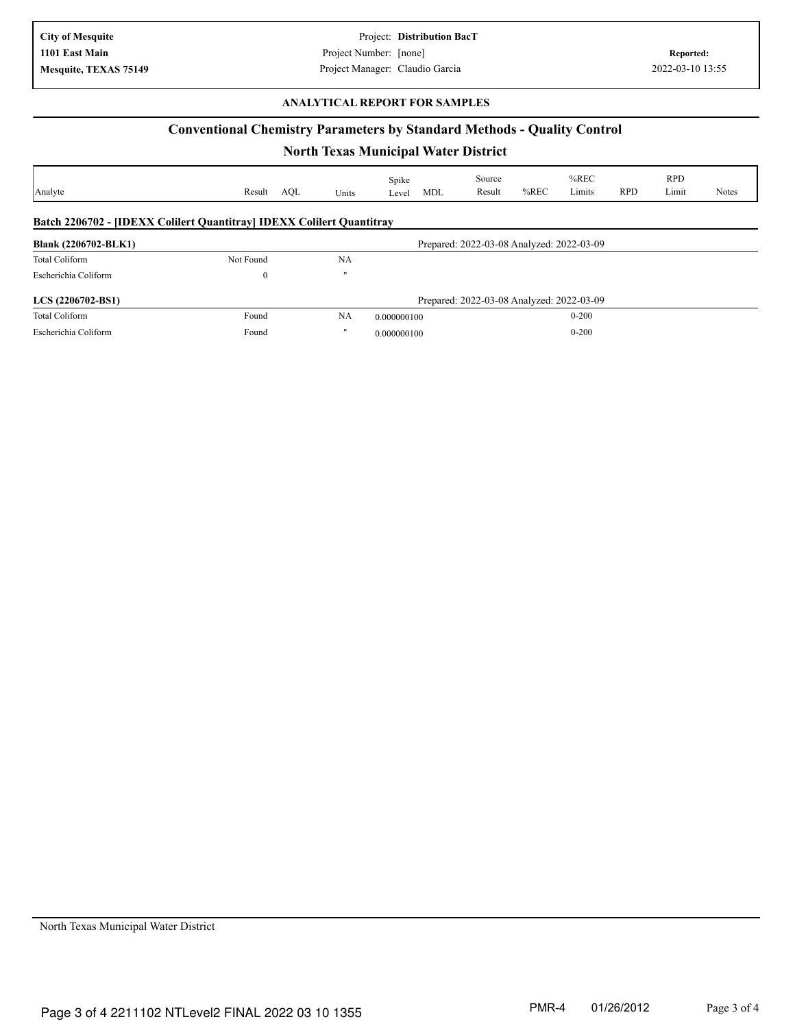Project: **Distribution BacT** Project Number: [none] **Mesquite, TEXAS 75149 Conserved Access 2022-03-10 13:55 Project Manager: Claudio Garcia** 2022-03-10 13:55

#### **ANALYTICAL REPORT FOR SAMPLES**

## **Conventional Chemistry Parameters by Standard Methods - Quality Control**

# **North Texas Municipal Water District**

| Analyte                                                                      | Result<br>AOL | Units             | Spike<br><b>MDL</b><br>Level              | Source<br>Result                          | $%$ REC | $%$ REC<br>Limits | <b>RPD</b> | <b>RPD</b><br>Limit | <b>Notes</b> |
|------------------------------------------------------------------------------|---------------|-------------------|-------------------------------------------|-------------------------------------------|---------|-------------------|------------|---------------------|--------------|
| <b>Batch 2206702 - [IDEXX Colilert Quantitray] IDEXX Colilert Quantitray</b> |               |                   |                                           |                                           |         |                   |            |                     |              |
| <b>Blank (2206702-BLK1)</b>                                                  |               |                   |                                           | Prepared: 2022-03-08 Analyzed: 2022-03-09 |         |                   |            |                     |              |
| Total Coliform                                                               | Not Found     | NA                |                                           |                                           |         |                   |            |                     |              |
| Escherichia Coliform                                                         | $\bf{0}$      | $^{\prime\prime}$ |                                           |                                           |         |                   |            |                     |              |
| LCS (2206702-BS1)                                                            |               |                   | Prepared: 2022-03-08 Analyzed: 2022-03-09 |                                           |         |                   |            |                     |              |
| Total Coliform                                                               | Found         | NA                | 0.000000100                               |                                           |         | $0 - 200$         |            |                     |              |
| Escherichia Coliform                                                         | Found         | $^{\prime\prime}$ | 0.000000100                               |                                           |         | $0 - 200$         |            |                     |              |

North Texas Municipal Water District